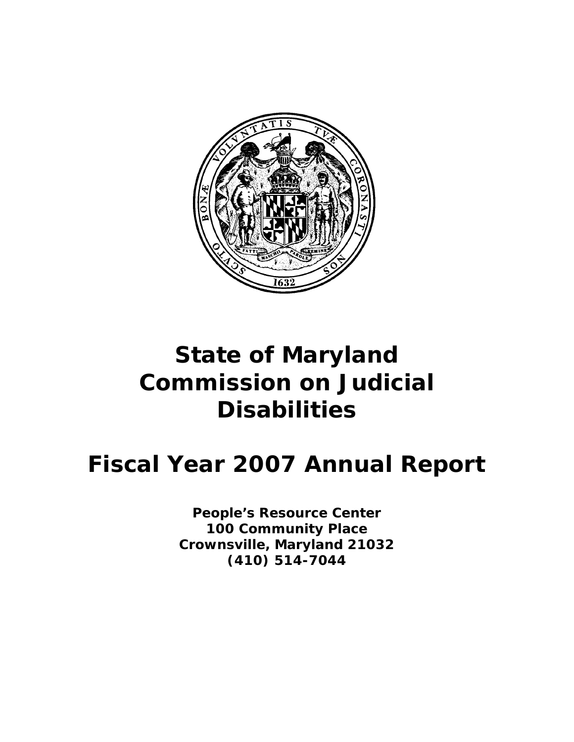

# *State of Maryland Commission on Judicial Disabilities*

## *Fiscal Year 2007 Annual Report*

*People's Resource Center 100 Community Place Crownsville, Maryland 21032 (410) 514-7044*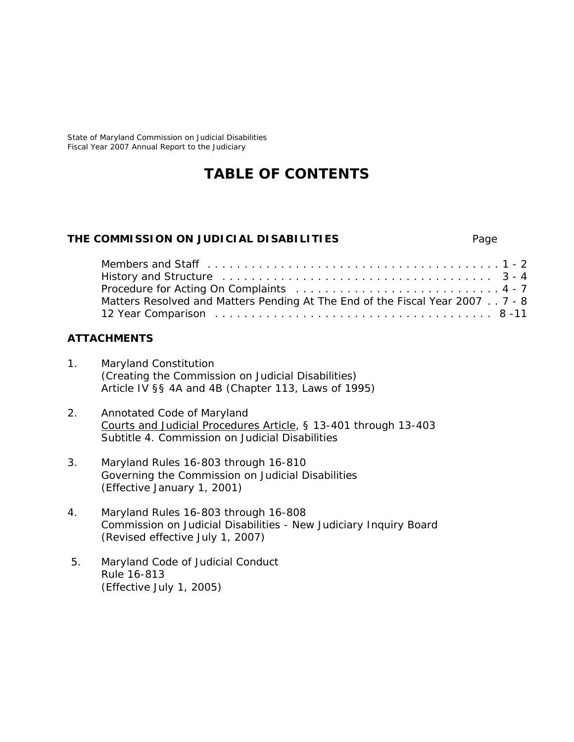## *TABLE OF CONTENTS*

#### **THE COMMISSION ON JUDICIAL DISABILITIES** Page

| Matters Resolved and Matters Pending At The End of the Fiscal Year 2007 7 - 8 |  |  |
|-------------------------------------------------------------------------------|--|--|
|                                                                               |  |  |

#### **ATTACHMENTS**

- 1. Maryland Constitution (Creating the Commission on Judicial Disabilities) Article IV §§ 4A and 4B (Chapter 113, Laws of 1995)
- 2. Annotated Code of Maryland Courts and Judicial Procedures Article, § 13-401 through 13-403 Subtitle 4. Commission on Judicial Disabilities
- 3. Maryland Rules 16-803 through 16-810 Governing the Commission on Judicial Disabilities (Effective January 1, 2001)
- 4. Maryland Rules 16-803 through 16-808 Commission on Judicial Disabilities - New Judiciary Inquiry Board (Revised effective July 1, 2007)
- 5. Maryland Code of Judicial Conduct Rule 16-813 (Effective July 1, 2005)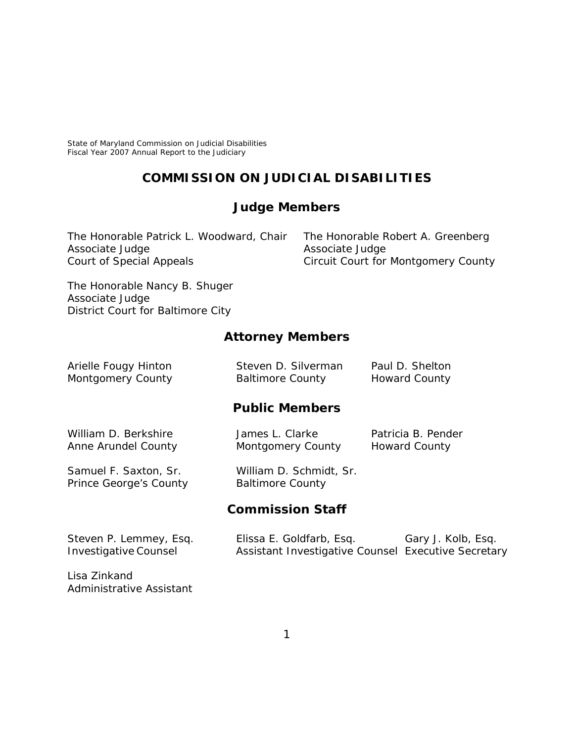## **COMMISSION ON JUDICIAL DISABILITIES**

## **Judge Members**

The Honorable Patrick L. Woodward, Chair The Honorable Robert A. Greenberg Associate Judge **Associate Summer Associate** Judge Court of Special Appeals Circuit Court for Montgomery County

The Honorable Nancy B. Shuger Associate Judge District Court for Baltimore City

### **Attorney Members**

| Arielle Fougy Hinton<br>Montgomery County              | Steven D. Silverman<br><b>Baltimore County</b>     | Paul D. Shelton<br><b>Howard County</b>                                   |
|--------------------------------------------------------|----------------------------------------------------|---------------------------------------------------------------------------|
|                                                        | <b>Public Members</b>                              |                                                                           |
| William D. Berkshire<br>Anne Arundel County            | James L. Clarke<br>Montgomery County               | Patricia B. Pender<br><b>Howard County</b>                                |
| Samuel F. Saxton, Sr.<br>Prince George's County        | William D. Schmidt, Sr.<br><b>Baltimore County</b> |                                                                           |
|                                                        | <b>Commission Staff</b>                            |                                                                           |
| Steven P. Lemmey, Esq.<br><b>Investigative Counsel</b> | Elissa E. Goldfarb, Esq.                           | Gary J. Kolb, Esq.<br>Assistant Investigative Counsel Executive Secretary |

Lisa Zinkand Administrative Assistant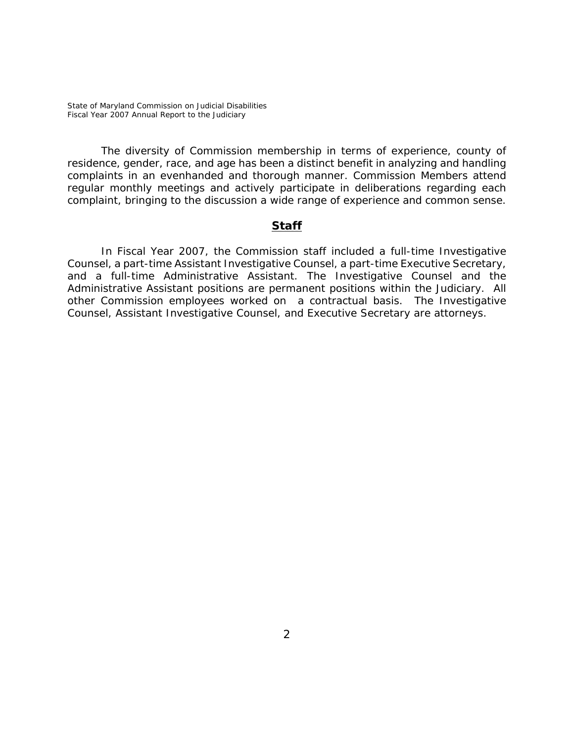The diversity of Commission membership in terms of experience, county of residence, gender, race, and age has been a distinct benefit in analyzing and handling complaints in an evenhanded and thorough manner. Commission Members attend regular monthly meetings and actively participate in deliberations regarding each complaint, bringing to the discussion a wide range of experience and common sense.

#### *Staff*

In Fiscal Year 2007, the Commission staff included a full-time Investigative Counsel, a part-time Assistant Investigative Counsel, a part-time Executive Secretary, and a full-time Administrative Assistant. The Investigative Counsel and the Administrative Assistant positions are permanent positions within the Judiciary. All other Commission employees worked on a contractual basis. The Investigative Counsel, Assistant Investigative Counsel, and Executive Secretary are attorneys.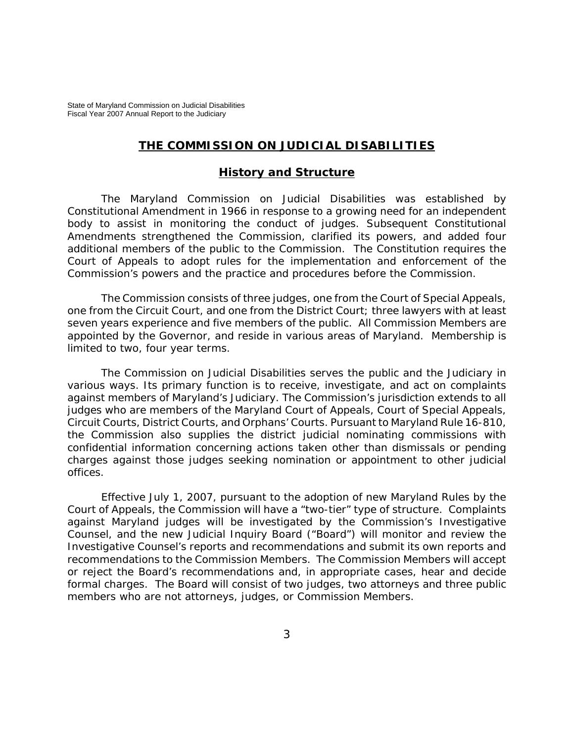#### *THE COMMISSION ON JUDICIAL DISABILITIES*

#### *History and Structure*

The Maryland Commission on Judicial Disabilities was established by Constitutional Amendment in 1966 in response to a growing need for an independent body to assist in monitoring the conduct of judges. Subsequent Constitutional Amendments strengthened the Commission, clarified its powers, and added four additional members of the public to the Commission. The Constitution requires the Court of Appeals to adopt rules for the implementation and enforcement of the Commission's powers and the practice and procedures before the Commission.

The Commission consists of three judges, one from the Court of Special Appeals, one from the Circuit Court, and one from the District Court; three lawyers with at least seven years experience and five members of the public. All Commission Members are appointed by the Governor, and reside in various areas of Maryland. Membership is limited to two, four year terms.

The Commission on Judicial Disabilities serves the public and the Judiciary in various ways. Its primary function is to receive, investigate, and act on complaints against members of Maryland's Judiciary. The Commission's jurisdiction extends to all judges who are members of the Maryland Court of Appeals, Court of Special Appeals, Circuit Courts, District Courts, and Orphans' Courts. Pursuant to Maryland Rule 16-810, the Commission also supplies the district judicial nominating commissions with confidential information concerning actions taken other than dismissals or pending charges against those judges seeking nomination or appointment to other judicial offices.

Effective July 1, 2007, pursuant to the adoption of new Maryland Rules by the Court of Appeals, the Commission will have a "two-tier" type of structure. Complaints against Maryland judges will be investigated by the Commission's Investigative Counsel, and the new Judicial Inquiry Board ("Board") will monitor and review the Investigative Counsel's reports and recommendations and submit its own reports and recommendations to the Commission Members. The Commission Members will accept or reject the Board's recommendations and, in appropriate cases, hear and decide formal charges. The Board will consist of two judges, two attorneys and three public members who are not attorneys, judges, or Commission Members.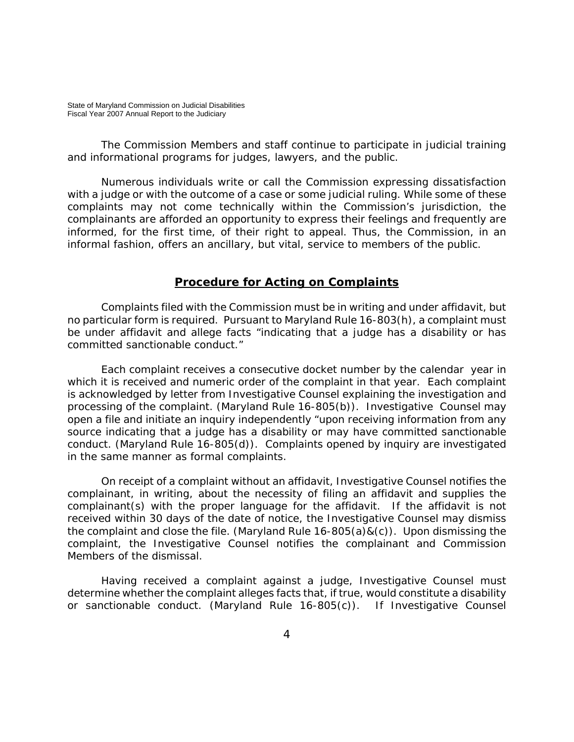The Commission Members and staff continue to participate in judicial training and informational programs for judges, lawyers, and the public.

Numerous individuals write or call the Commission expressing dissatisfaction with a judge or with the outcome of a case or some judicial ruling. While some of these complaints may not come technically within the Commission's jurisdiction, the complainants are afforded an opportunity to express their feelings and frequently are informed, for the first time, of their right to appeal. Thus, the Commission, in an informal fashion, offers an ancillary, but vital, service to members of the public.

### *Procedure for Acting on Complaints*

Complaints filed with the Commission must be in writing and under affidavit, but no particular form is required. Pursuant to Maryland Rule 16-803(h), a complaint must be under affidavit and allege facts "indicating that a judge has a disability or has committed sanctionable conduct."

Each complaint receives a consecutive docket number by the calendar year in which it is received and numeric order of the complaint in that year. Each complaint is acknowledged by letter from Investigative Counsel explaining the investigation and processing of the complaint. (Maryland Rule 16-805(b)). Investigative Counsel may open a file and initiate an inquiry independently "upon receiving information from any source indicating that a judge has a disability or may have committed sanctionable conduct. (Maryland Rule 16-805(d)). Complaints opened by inquiry are investigated in the same manner as formal complaints.

On receipt of a complaint without an affidavit, Investigative Counsel notifies the complainant, in writing, about the necessity of filing an affidavit and supplies the complainant(s) with the proper language for the affidavit. If the affidavit is not received within 30 days of the date of notice, the Investigative Counsel may dismiss the complaint and close the file. (Maryland Rule 16-805(a)&(c)). Upon dismissing the complaint, the Investigative Counsel notifies the complainant and Commission Members of the dismissal.

Having received a complaint against a judge, Investigative Counsel must determine whether the complaint alleges facts that, if true, would constitute a disability or sanctionable conduct. (Maryland Rule 16-805(c)). If Investigative Counsel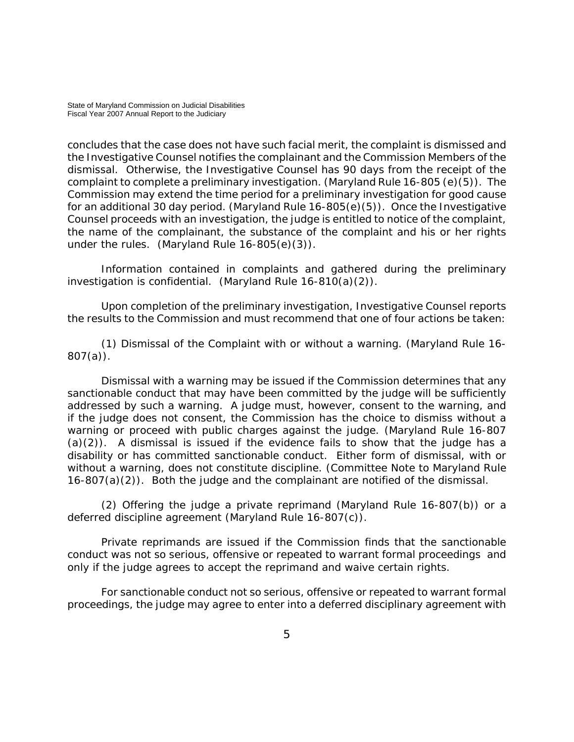concludes that the case does not have such facial merit, the complaint is dismissed and the Investigative Counsel notifies the complainant and the Commission Members of the dismissal. Otherwise, the Investigative Counsel has 90 days from the receipt of the complaint to complete a preliminary investigation. (Maryland Rule 16-805 (e)(5)). The Commission may extend the time period for a preliminary investigation for good cause for an additional 30 day period. (Maryland Rule 16-805(e)(5)). Once the Investigative Counsel proceeds with an investigation, the judge is entitled to notice of the complaint, the name of the complainant, the substance of the complaint and his or her rights under the rules. (Maryland Rule 16-805(e)(3)).

Information contained in complaints and gathered during the preliminary investigation is confidential. (Maryland Rule 16-810(a)(2)).

Upon completion of the preliminary investigation, Investigative Counsel reports the results to the Commission and must recommend that one of four actions be taken:

(1) Dismissal of the Complaint with or without a warning. (Maryland Rule 16- 807(a)).

Dismissal with a warning may be issued if the Commission determines that any sanctionable conduct that may have been committed by the judge will be sufficiently addressed by such a warning. A judge must, however, consent to the warning, and if the judge does not consent, the Commission has the choice to dismiss without a warning or proceed with public charges against the judge. (Maryland Rule 16-807  $(a)(2)$ ). A dismissal is issued if the evidence fails to show that the judge has a disability or has committed sanctionable conduct. Either form of dismissal, with or without a warning, does not constitute discipline. (Committee Note to Maryland Rule 16-807(a)(2)). Both the judge and the complainant are notified of the dismissal.

(2) Offering the judge a private reprimand (Maryland Rule 16-807(b)) or a deferred discipline agreement (Maryland Rule 16-807(c)).

Private reprimands are issued if the Commission finds that the sanctionable conduct was not so serious, offensive or repeated to warrant formal proceedings and only if the judge agrees to accept the reprimand and waive certain rights.

For sanctionable conduct not so serious, offensive or repeated to warrant formal proceedings, the judge may agree to enter into a deferred disciplinary agreement with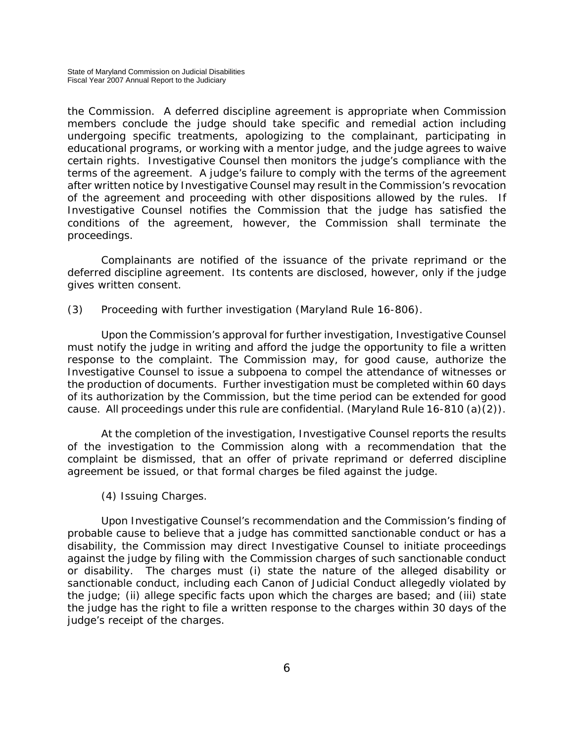the Commission. A deferred discipline agreement is appropriate when Commission members conclude the judge should take specific and remedial action including undergoing specific treatments, apologizing to the complainant, participating in educational programs, or working with a mentor judge, and the judge agrees to waive certain rights. Investigative Counsel then monitors the judge's compliance with the terms of the agreement. A judge's failure to comply with the terms of the agreement after written notice by Investigative Counsel may result in the Commission's revocation of the agreement and proceeding with other dispositions allowed by the rules. If Investigative Counsel notifies the Commission that the judge has satisfied the conditions of the agreement, however, the Commission shall terminate the proceedings.

Complainants are notified of the issuance of the private reprimand or the deferred discipline agreement. Its contents are disclosed, however, only if the judge gives written consent.

(3) Proceeding with further investigation (Maryland Rule 16-806).

Upon the Commission's approval for further investigation, Investigative Counsel must notify the judge in writing and afford the judge the opportunity to file a written response to the complaint. The Commission may, for good cause, authorize the Investigative Counsel to issue a subpoena to compel the attendance of witnesses or the production of documents. Further investigation must be completed within 60 days of its authorization by the Commission, but the time period can be extended for good cause. All proceedings under this rule are confidential. (Maryland Rule 16-810 (a)(2)).

At the completion of the investigation, Investigative Counsel reports the results of the investigation to the Commission along with a recommendation that the complaint be dismissed, that an offer of private reprimand or deferred discipline agreement be issued, or that formal charges be filed against the judge.

(4) Issuing Charges.

Upon Investigative Counsel's recommendation and the Commission's finding of probable cause to believe that a judge has committed sanctionable conduct or has a disability, the Commission may direct Investigative Counsel to initiate proceedings against the judge by filing with the Commission charges of such sanctionable conduct or disability. The charges must (i) state the nature of the alleged disability or sanctionable conduct, including each Canon of Judicial Conduct allegedly violated by the judge; (ii) allege specific facts upon which the charges are based; and (iii) state the judge has the right to file a written response to the charges within 30 days of the judge's receipt of the charges.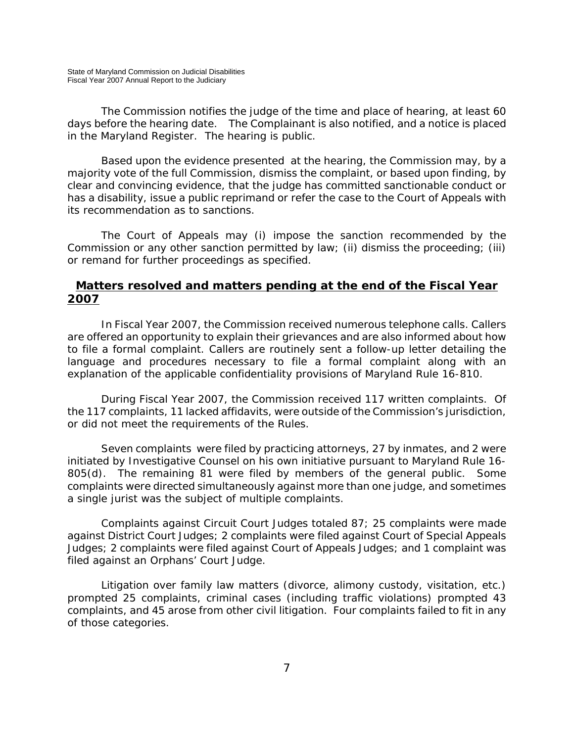The Commission notifies the judge of the time and place of hearing, at least 60 days before the hearing date. The Complainant is also notified, and a notice is placed in the *Maryland Register.* The hearing is public.

Based upon the evidence presented at the hearing, the Commission may, by a majority vote of the full Commission, dismiss the complaint, or based upon finding, by clear and convincing evidence, that the judge has committed sanctionable conduct or has a disability, issue a public reprimand or refer the case to the Court of Appeals with its recommendation as to sanctions.

The Court of Appeals may (i) impose the sanction recommended by the Commission or any other sanction permitted by law; (ii) dismiss the proceeding; (iii) or remand for further proceedings as specified.

## *Matters resolved and matters pending at the end of the Fiscal Year 2007*

In Fiscal Year 2007, the Commission received numerous telephone calls. Callers are offered an opportunity to explain their grievances and are also informed about how to file a formal complaint. Callers are routinely sent a follow-up letter detailing the language and procedures necessary to file a formal complaint along with an explanation of the applicable confidentiality provisions of Maryland Rule 16-810.

During Fiscal Year 2007, the Commission received 117 written complaints. Of the 117 complaints, 11 lacked affidavits, were outside of the Commission's jurisdiction, or did not meet the requirements of the Rules.

Seven complaints were filed by practicing attorneys, 27 by inmates, and 2 were initiated by Investigative Counsel on his own initiative pursuant to Maryland Rule 16- 805(d). The remaining 81 were filed by members of the general public. Some complaints were directed simultaneously against more than one judge, and sometimes a single jurist was the subject of multiple complaints.

Complaints against Circuit Court Judges totaled 87; 25 complaints were made against District Court Judges; 2 complaints were filed against Court of Special Appeals Judges; 2 complaints were filed against Court of Appeals Judges; and 1 complaint was filed against an Orphans' Court Judge.

Litigation over family law matters (divorce, alimony custody, visitation, etc.) prompted 25 complaints, criminal cases (including traffic violations) prompted 43 complaints, and 45 arose from other civil litigation. Four complaints failed to fit in any of those categories.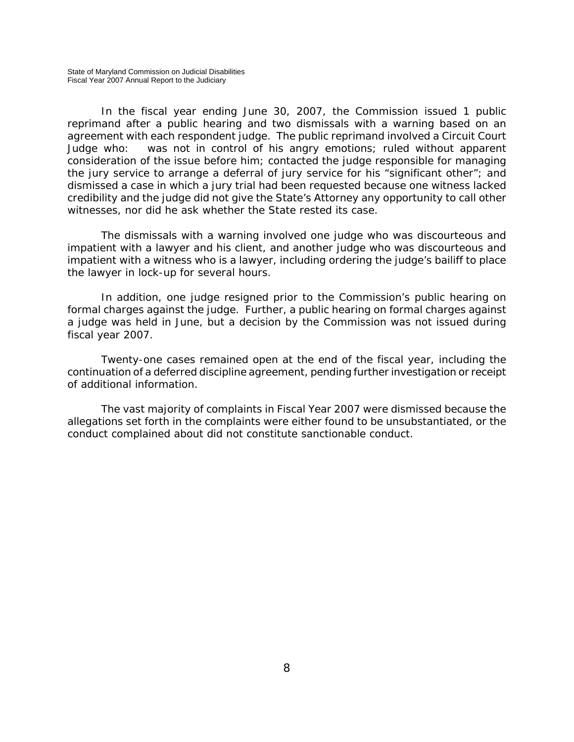In the fiscal year ending June 30, 2007, the Commission issued 1 public reprimand after a public hearing and two dismissals with a warning based on an agreement with each respondent judge. The public reprimand involved a Circuit Court Judge who: was not in control of his angry emotions; ruled without apparent consideration of the issue before him; contacted the judge responsible for managing the jury service to arrange a deferral of jury service for his "significant other"; and dismissed a case in which a jury trial had been requested because one witness lacked credibility and the judge did not give the State's Attorney any opportunity to call other witnesses, nor did he ask whether the State rested its case.

The dismissals with a warning involved one judge who was discourteous and impatient with a lawyer and his client, and another judge who was discourteous and impatient with a witness who is a lawyer, including ordering the judge's bailiff to place the lawyer in lock-up for several hours.

In addition, one judge resigned prior to the Commission's public hearing on formal charges against the judge. Further, a public hearing on formal charges against a judge was held in June, but a decision by the Commission was not issued during fiscal year 2007.

Twenty-one cases remained open at the end of the fiscal year, including the continuation of a deferred discipline agreement, pending further investigation or receipt of additional information.

The vast majority of complaints in Fiscal Year 2007 were dismissed because the allegations set forth in the complaints were either found to be unsubstantiated, or the conduct complained about did not constitute sanctionable conduct.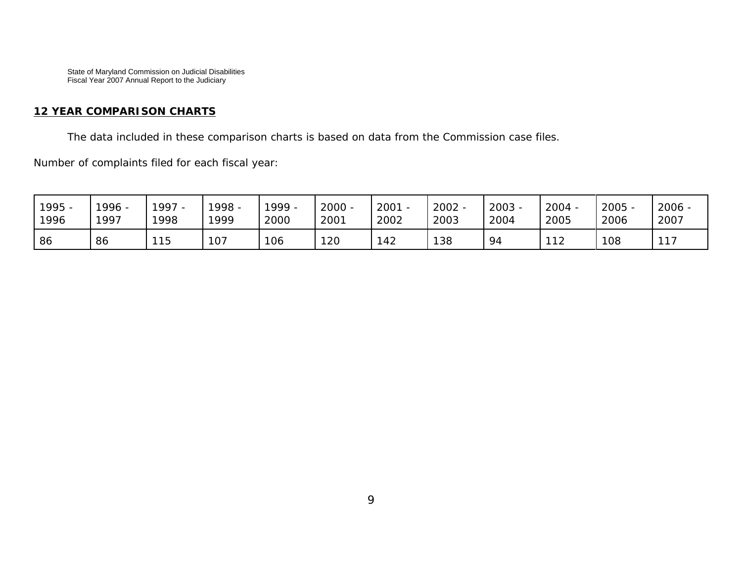#### **12 YEAR COMPARISON CHARTS**

The data included in these comparison charts is based on data from the Commission case files.

Number of complaints filed for each fiscal year:

| 1995 - | 1996 | 1997 | 1998 - | 1999 - | 2000 | 2001 | $2002 -$ | 2003 | 2004 | 2005 | 2006 |
|--------|------|------|--------|--------|------|------|----------|------|------|------|------|
| 1996   | 1997 | 1998 | 1999   | 2000   | 2001 | 2002 | 2003     | 2004 | 2005 | 2006 | 2007 |
| 86     | 86   | 115  | 107    | 106    | 20   | 142  | 138      | 94   | 112  | 108  | 117  |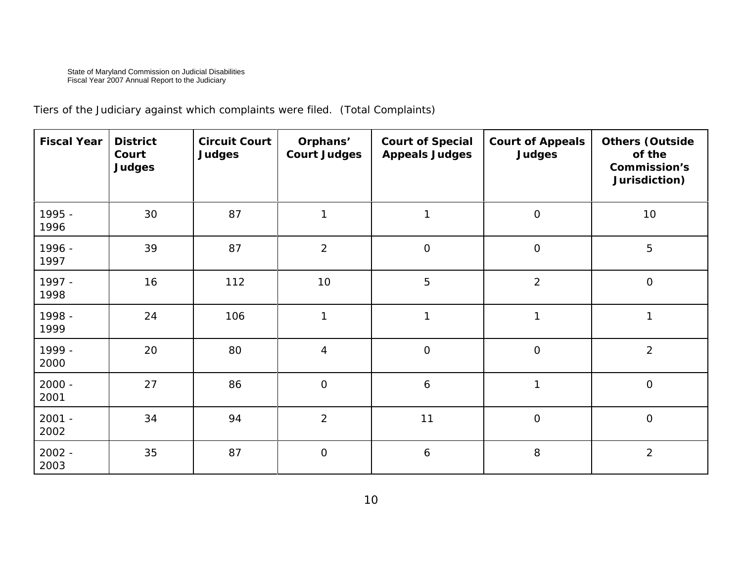Tiers of the Judiciary against which complaints were filed. (Total Complaints)

| <b>Fiscal Year</b> | <b>District</b><br>Court<br><b>Judges</b> | <b>Circuit Court</b><br><b>Judges</b> | Orphans'<br><b>Court Judges</b> | <b>Court of Special</b><br><b>Appeals Judges</b> | <b>Court of Appeals</b><br><b>Judges</b> | <b>Others (Outside</b><br>of the<br><b>Commission's</b><br>Jurisdiction) |
|--------------------|-------------------------------------------|---------------------------------------|---------------------------------|--------------------------------------------------|------------------------------------------|--------------------------------------------------------------------------|
| 1995 -<br>1996     | 30                                        | 87                                    | 1                               | $\mathbf{1}$                                     | $\mathbf 0$                              | 10                                                                       |
| 1996 -<br>1997     | 39                                        | 87                                    | $\overline{2}$                  | $\mathsf O$                                      | $\mathbf{O}$                             | 5                                                                        |
| 1997 -<br>1998     | 16                                        | 112                                   | 10                              | 5                                                | $\overline{2}$                           | $\mathbf 0$                                                              |
| 1998 -<br>1999     | 24                                        | 106                                   | $\mathbf{1}$                    | $\mathbf{1}$                                     | $\mathbf{1}$                             | $\mathbf{1}$                                                             |
| 1999 -<br>2000     | 20                                        | 80                                    | $\overline{4}$                  | $\overline{O}$                                   | $\mathbf{O}$                             | $\overline{2}$                                                           |
| $2000 -$<br>2001   | 27                                        | 86                                    | $\mathsf{O}\xspace$             | $\boldsymbol{6}$                                 | $\mathbf{1}$                             | $\mathbf 0$                                                              |
| $2001 -$<br>2002   | 34                                        | 94                                    | $\overline{2}$                  | 11                                               | $\mathbf{O}$                             | $\mathbf 0$                                                              |
| 2002 -<br>2003     | 35                                        | 87                                    | $\mathsf{O}\xspace$             | $\boldsymbol{6}$                                 | $\, 8$                                   | $\overline{2}$                                                           |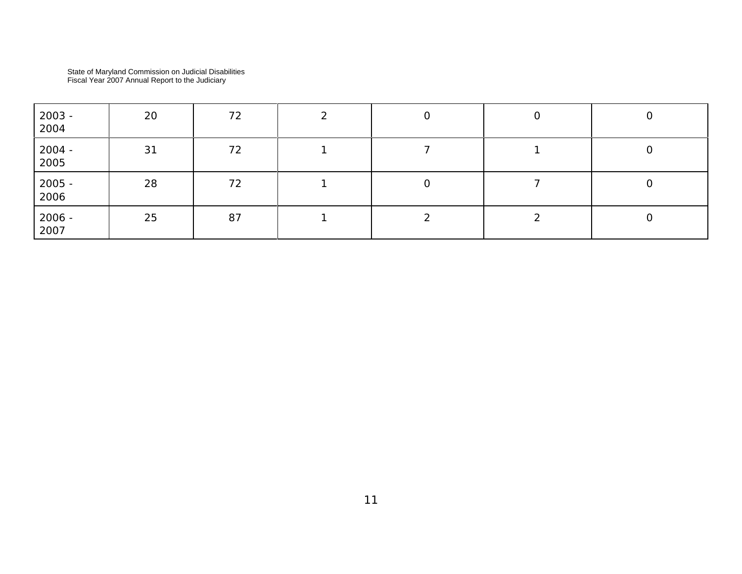| 2003 -<br>2004 | 20 | 72 | $\overline{0}$ | O |
|----------------|----|----|----------------|---|
| 2004 -<br>2005 | 31 | 72 |                | Ü |
| 2005 -<br>2006 | 28 | 72 | 0              | 0 |
| 2006 -<br>2007 | 25 | 87 |                | U |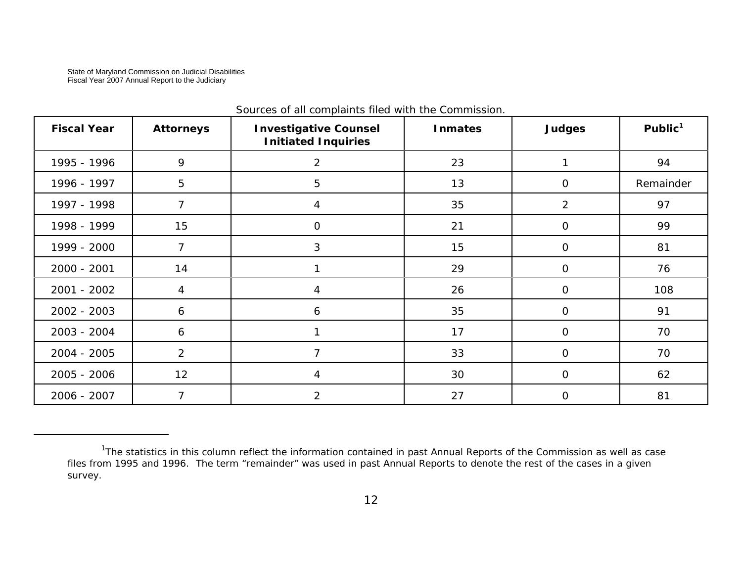| <b>Fiscal Year</b> | <b>Attorneys</b> | <b>Investigative Counsel</b><br><b>Initiated Inquiries</b> | <b>Inmates</b> | <b>Judges</b>  | Public $1$ |
|--------------------|------------------|------------------------------------------------------------|----------------|----------------|------------|
| 1995 - 1996        | 9                | $\overline{2}$                                             | 23             | 1              | 94         |
| 1996 - 1997        | 5                | 5                                                          | 13             | 0              | Remainder  |
| 1997 - 1998        | $\overline{7}$   | 4                                                          | 35             | $\overline{2}$ | 97         |
| 1998 - 1999        | 15               | $\mathbf{O}$                                               | 21             | $\mathbf{O}$   | 99         |
| 1999 - 2000        | 7                | 3                                                          | 15             | $\overline{O}$ | 81         |
| $2000 - 2001$      | 14               |                                                            | 29             | $\mathbf{O}$   | 76         |
| 2001 - 2002        | 4                | 4                                                          | 26             | $\mathbf{O}$   | 108        |
| 2002 - 2003        | 6                | 6                                                          | 35             | $\mathbf{O}$   | 91         |
| 2003 - 2004        | 6                |                                                            | 17             | $\mathbf{O}$   | 70         |
| 2004 - 2005        | $\overline{2}$   | $\overline{7}$                                             | 33             | $\mathbf{O}$   | 70         |
| 2005 - 2006        | 12               | 4                                                          | 30             | $\mathbf{O}$   | 62         |
| 2006 - 2007        | $\overline{7}$   | $\overline{2}$                                             | 27             | $\mathbf 0$    | 81         |

Sources of all complaints filed with the Commission.

 $1$ The statistics in this column reflect the information contained in past Annual Reports of the Commission as well as case files from 1995 and 1996. The term "remainder" was used in past Annual Reports to denote the rest of the cases in a given survey.